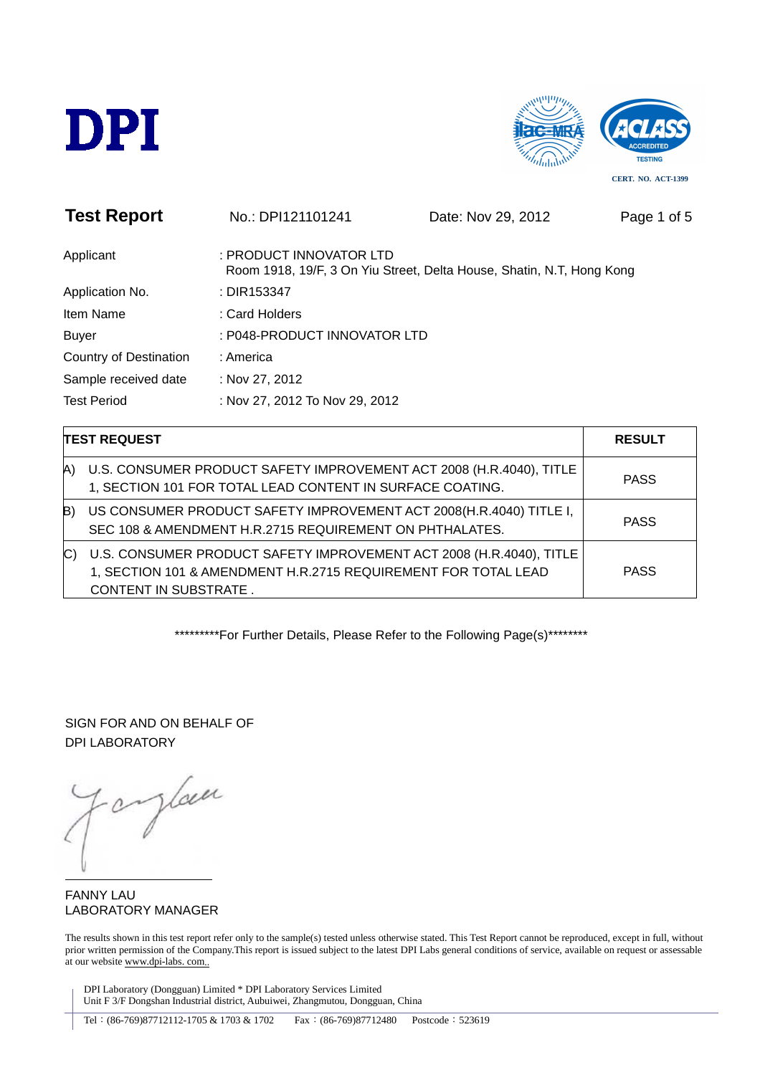



| <b>Test Report</b>            | No.: DPI121101241              | Date: Nov 29, 2012                                                    | Page 1 of 5 |
|-------------------------------|--------------------------------|-----------------------------------------------------------------------|-------------|
| Applicant                     | : PRODUCT INNOVATOR LTD        | Room 1918, 19/F, 3 On Yiu Street, Delta House, Shatin, N.T, Hong Kong |             |
| Application No.               | : DIR153347                    |                                                                       |             |
| Item Name                     | : Card Holders                 |                                                                       |             |
| <b>Buyer</b>                  | : P048-PRODUCT INNOVATOR LTD   |                                                                       |             |
| <b>Country of Destination</b> | : America                      |                                                                       |             |
| Sample received date          | : Nov 27, 2012                 |                                                                       |             |
| <b>Test Period</b>            | : Nov 27, 2012 To Nov 29, 2012 |                                                                       |             |
|                               |                                |                                                                       |             |

| <b>TEST REQUEST</b> |                                                                                                                                                                       | <b>RESULT</b> |
|---------------------|-----------------------------------------------------------------------------------------------------------------------------------------------------------------------|---------------|
| A)                  | U.S. CONSUMER PRODUCT SAFETY IMPROVEMENT ACT 2008 (H.R.4040), TITLE<br>1, SECTION 101 FOR TOTAL LEAD CONTENT IN SURFACE COATING.                                      | <b>PASS</b>   |
| B)                  | US CONSUMER PRODUCT SAFETY IMPROVEMENT ACT 2008(H.R.4040) TITLE I,<br>SEC 108 & AMENDMENT H.R.2715 REQUIREMENT ON PHTHALATES.                                         | <b>PASS</b>   |
|                     | U.S. CONSUMER PRODUCT SAFETY IMPROVEMENT ACT 2008 (H.R.4040), TITLE<br>1, SECTION 101 & AMENDMENT H.R.2715 REQUIREMENT FOR TOTAL LEAD<br><b>CONTENT IN SUBSTRATE.</b> | <b>PASS</b>   |

\*\*\*\*\*\*\*\*\*\*For Further Details, Please Refer to the Following Page(s)\*\*\*\*\*\*\*\*

SIGN FOR AND ON BEHALF OF DPI LABORATORY

ylan  $\mathcal{O}$ 

FANNY LAU LABORATORY MANAGER

The results shown in this test report refer only to the sample(s) tested unless otherwise stated. This Test Report cannot be reproduced, except in full, without prior written permission of the Company.This report is issued subject to the latest DPI Labs general conditions of service, available on request or assessable at our website www.dpi-labs. com..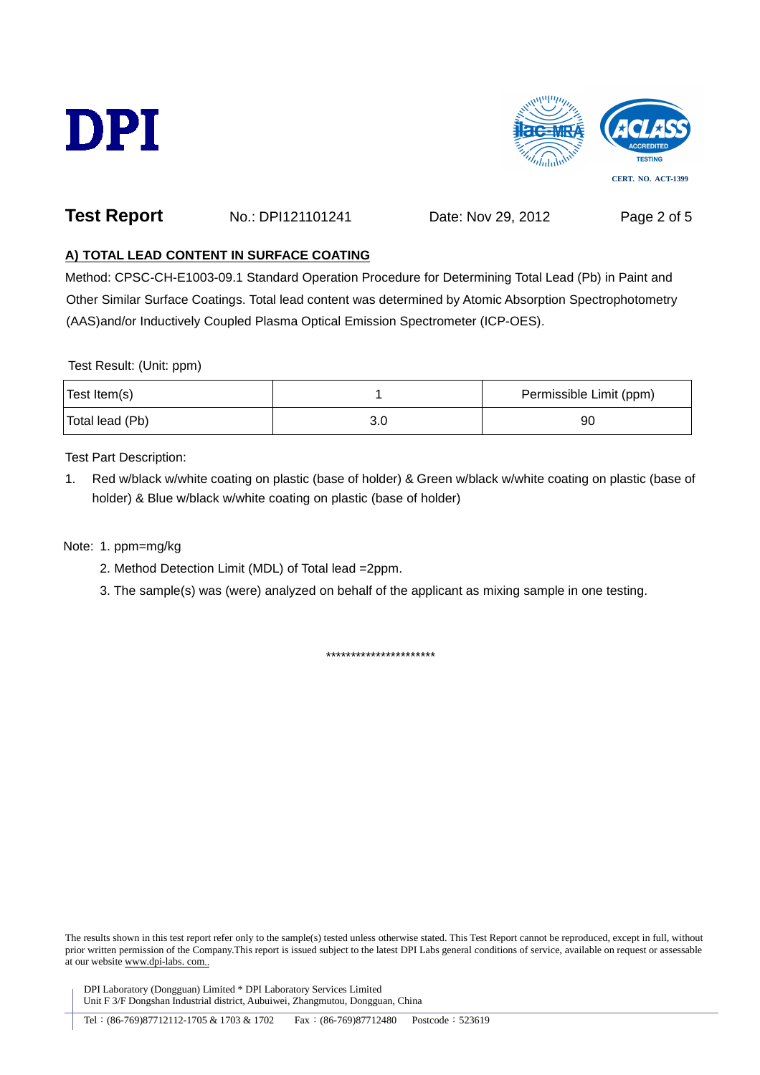



### **Test Report** No.: DPI121101241 Date: Nov 29, 2012 Page 2 of 5

#### **A) TOTAL LEAD CONTENT IN SURFACE COATING**

Method: CPSC-CH-E1003-09.1 Standard Operation Procedure for Determining Total Lead (Pb) in Paint and Other Similar Surface Coatings. Total lead content was determined by Atomic Absorption Spectrophotometry (AAS)and/or Inductively Coupled Plasma Optical Emission Spectrometer (ICP-OES).

Test Result: (Unit: ppm)

| Test Item(s)    | Permissible Limit (ppm) |
|-----------------|-------------------------|
| Total lead (Pb) | 90                      |

Test Part Description:

1. Red w/black w/white coating on plastic (base of holder) & Green w/black w/white coating on plastic (base of holder) & Blue w/black w/white coating on plastic (base of holder)

Note: 1. ppm=mg/kg

- 2. Method Detection Limit (MDL) of Total lead =2ppm.
- 3. The sample(s) was (were) analyzed on behalf of the applicant as mixing sample in one testing.

\*\*\*\*\*\*\*\*\*\*\*\*\*\*\*\*\*\*\*\*\*\*

The results shown in this test report refer only to the sample(s) tested unless otherwise stated. This Test Report cannot be reproduced, except in full, without prior written permission of the Company.This report is issued subject to the latest DPI Labs general conditions of service, available on request or assessable at our website www.dpi-labs. com..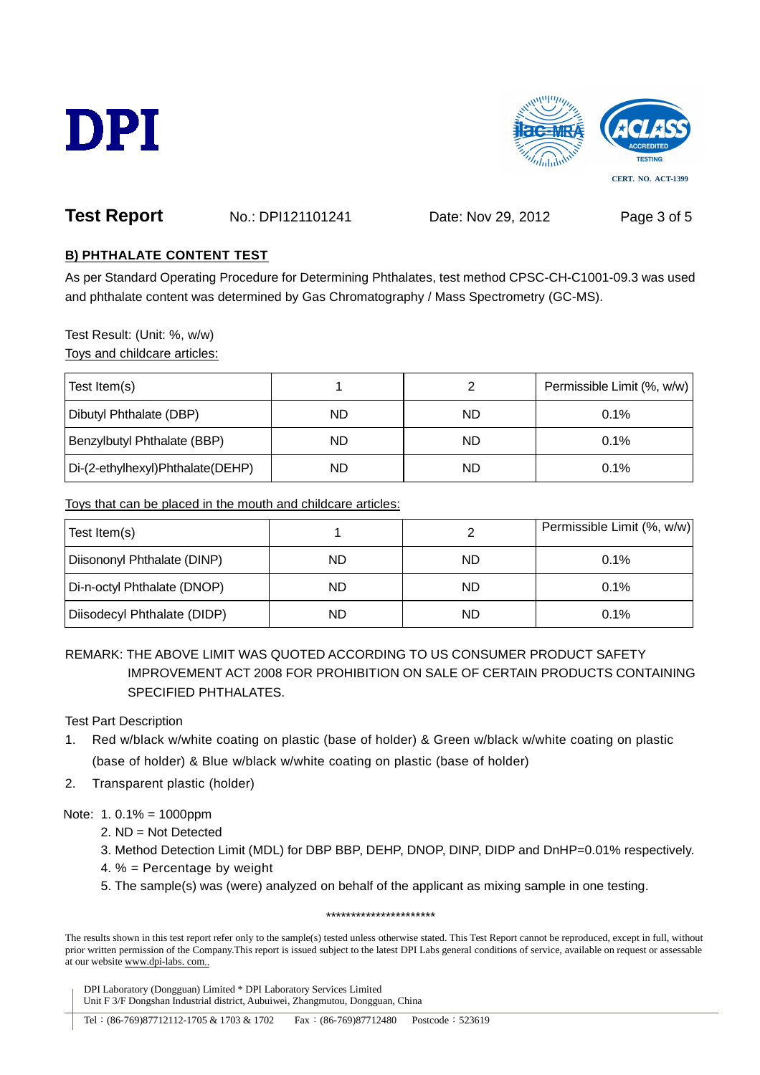



# **Test Report** No.: DPI121101241 Date: Nov 29, 2012 Page 3 of 5

#### **B) PHTHALATE CONTENT TEST**

As per Standard Operating Procedure for Determining Phthalates, test method CPSC-CH-C1001-09.3 was used and phthalate content was determined by Gas Chromatography / Mass Spectrometry (GC-MS).

Test Result: (Unit: %, w/w) Toys and childcare articles:

| Test Item(s)                     |    |    | Permissible Limit (%, w/w) |
|----------------------------------|----|----|----------------------------|
| Dibutyl Phthalate (DBP)          | ND | ND | 0.1%                       |
| Benzylbutyl Phthalate (BBP)      | ND | ND | 0.1%                       |
| Di-(2-ethylhexyl)Phthalate(DEHP) | ND | ND | 0.1%                       |

Toys that can be placed in the mouth and childcare articles:

| Test Item(s)                |    |    | Permissible Limit (%, w/w) |
|-----------------------------|----|----|----------------------------|
| Diisononyl Phthalate (DINP) | ND | ND | $0.1\%$                    |
| Di-n-octyl Phthalate (DNOP) | ND | ND | $0.1\%$                    |
| Diisodecyl Phthalate (DIDP) | ND | ND | 0.1%                       |

REMARK: THE ABOVE LIMIT WAS QUOTED ACCORDING TO US CONSUMER PRODUCT SAFETY IMPROVEMENT ACT 2008 FOR PROHIBITION ON SALE OF CERTAIN PRODUCTS CONTAINING SPECIFIED PHTHALATES.

Test Part Description

- 1. Red w/black w/white coating on plastic (base of holder) & Green w/black w/white coating on plastic (base of holder) & Blue w/black w/white coating on plastic (base of holder)
- 2. Transparent plastic (holder)

Note: 1. 0.1% = 1000ppm

- 2. ND = Not Detected
- 3. Method Detection Limit (MDL) for DBP BBP, DEHP, DNOP, DINP, DIDP and DnHP=0.01% respectively.
- 4. % = Percentage by weight
- 5. The sample(s) was (were) analyzed on behalf of the applicant as mixing sample in one testing.

\*\*\*\*\*\*\*\*\*\*\*\*\*\*\*\*\*\*\*\*\*\*

The results shown in this test report refer only to the sample(s) tested unless otherwise stated. This Test Report cannot be reproduced, except in full, without prior written permission of the Company.This report is issued subject to the latest DPI Labs general conditions of service, available on request or assessable at our website www.dpi-labs. com..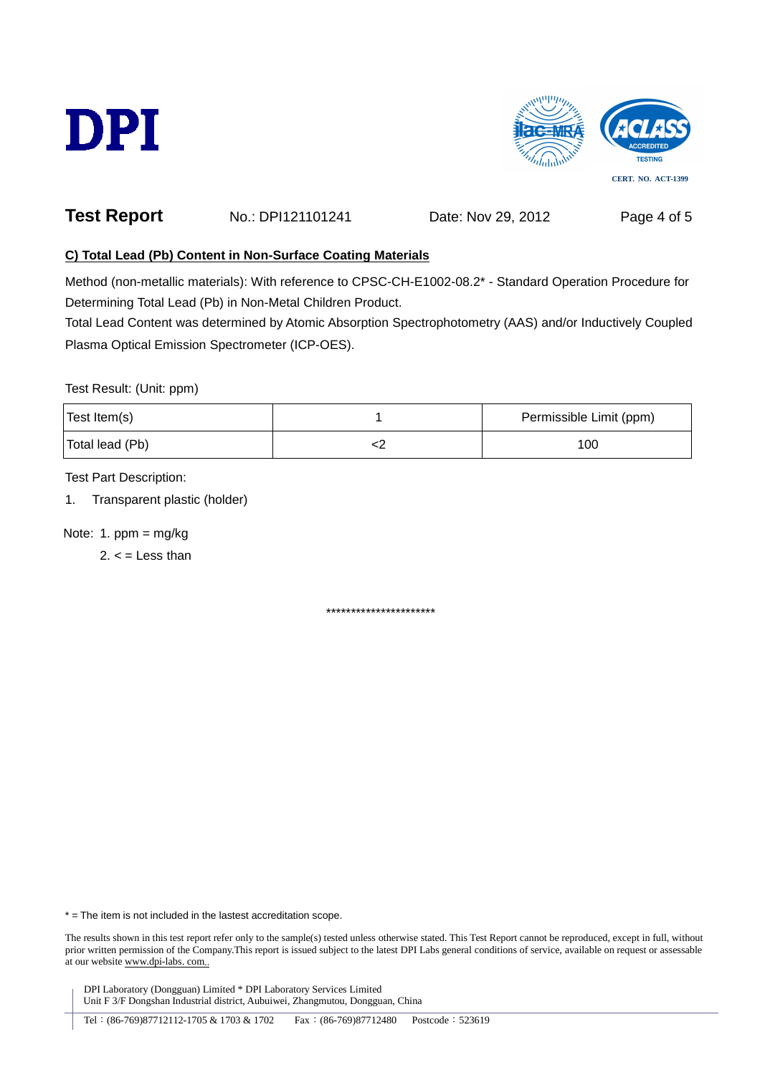



## **Test Report** No.: DPI121101241 Date: Nov 29, 2012 Page 4 of 5

#### **C) Total Lead (Pb) Content in Non-Surface Coating Materials**

Method (non-metallic materials): With reference to CPSC-CH-E1002-08.2\* - Standard Operation Procedure for Determining Total Lead (Pb) in Non-Metal Children Product.

Total Lead Content was determined by Atomic Absorption Spectrophotometry (AAS) and/or Inductively Coupled Plasma Optical Emission Spectrometer (ICP-OES).

Test Result: (Unit: ppm)

| Test Item(s)    | Permissible Limit (ppm) |
|-----------------|-------------------------|
| Total lead (Pb) | 100                     |

Test Part Description:

1. Transparent plastic (holder)

Note: 1.  $ppm = mg/kg$ 

 $2. <$  = Less than

\*\*\*\*\*\*\*\*\*\*\*\*\*\*\*\*\*\*\*\*\*\*

\* = The item is not included in the lastest accreditation scope.

The results shown in this test report refer only to the sample(s) tested unless otherwise stated. This Test Report cannot be reproduced, except in full, without prior written permission of the Company.This report is issued subject to the latest DPI Labs general conditions of service, available on request or assessable at our website www.dpi-labs. com..